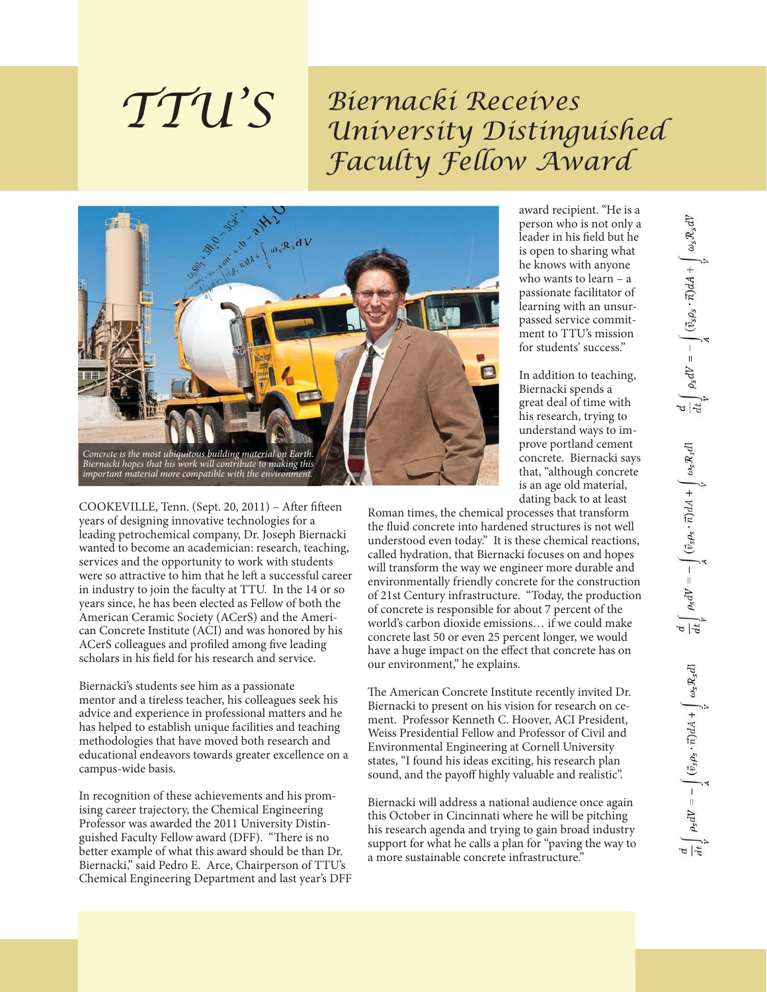## *Biernacki Receives University Distinguished Faculty Fellow Award*



COOKEVILLE, Tenn. (Sept. 20, 2011) - After fifteen years of designing innovative technologies for a leading petrochemical company, Dr. Joseph Biernacki wanted to become an academician: research, teaching, services and the opportunity to work with students were so attractive to him that he left a successful career in industry to join the faculty at TTU. In the 14 or so years since, he has been elected as Fellow of both the American Ceramic Society (ACerS) and the American Concrete Institute (ACI) and was honored by his ACerS colleagues and profiled among five leading scholars in his field for his research and service.

*TTU'S*

Biernacki's students see him as a passionate mentor and a tireless teacher, his colleagues seek his advice and experience in professional matters and he has helped to establish unique facilities and teaching methodologies that have moved both research and educational endeavors towards greater excellence on a campus-wide basis.

In recognition of these achievements and his promising career trajectory, the Chemical Engineering Professor was awarded the 2011 University Distinguished Faculty Fellow award (DFF). "There is no better example of what this award should be than Dr. Biernacki," said Pedro E. Arce, Chairperson of TTU's Chemical Engineering Department and last year's DFF award recipient. "He is a person who is not only a leader in his field but he is open to sharing what he knows with anyone who wants to learn – a passionate facilitator of learning with an unsurpassed service commitment to TTU's mission for students' success."

In addition to teaching, Biernacki spends a great deal of time with his research, trying to understand ways to improve portland cement concrete. Biernacki says that, "although concrete is an age old material, dating back to at least

Roman times, the chemical processes that transform the fluid concrete into hardened structures is not well understood even today." It is these chemical reactions, called hydration, that Biernacki focuses on and hopes will transform the way we engineer more durable and environmentally friendly concrete for the construction of 21st Century infrastructure. "Today, the production of concrete is responsible for about 7 percent of the world's carbon dioxide emissions… if we could make concrete last 50 or even 25 percent longer, we would have a huge impact on the effect that concrete has on our environment," he explains.

The American Concrete Institute recently invited Dr. Biernacki to present on his vision for research on cement. Professor Kenneth C. Hoover, ACI President, Weiss Presidential Fellow and Professor of Civil and Environmental Engineering at Cornell University states, "I found his ideas exciting, his research plan sound, and the payoff highly valuable and realistic".

Biernacki will address a national audience once again this October in Cincinnati where he will be pitching his research agenda and trying to gain broad industry support for what he calls a plan for "paving the way to a more sustainable concrete infrastructure."

 $\frac{d}{dt}\int\limits_V \rho_S dV = -\int\limits_A \big(\vec{v}_S \rho_S \cdot \vec{n}\big) dA + \int\limits_V \omega_S \mathcal{R}_S dV$  $\frac{d}{dt}\int\limits_{V}\rho_{\rm s}dV=-\int\limits_{A}(\vec{v}_{\rm s}\rho_{\rm s}\cdot\vec{n})dA+\int\limits_{V}\omega_{\rm s}\mathcal{R}_{\rm s}d\mathbf{l}$  $\frac{d}{dt}\int\limits_V \rho_{\rm S}dV=-\int\limits_A (\vec{v}_{\rm S}\rho_{\rm S}\cdot\vec{n})dA+\int\limits_V \omega_{\rm S}\mathcal{R}_{\rm S}d\vec{n}$